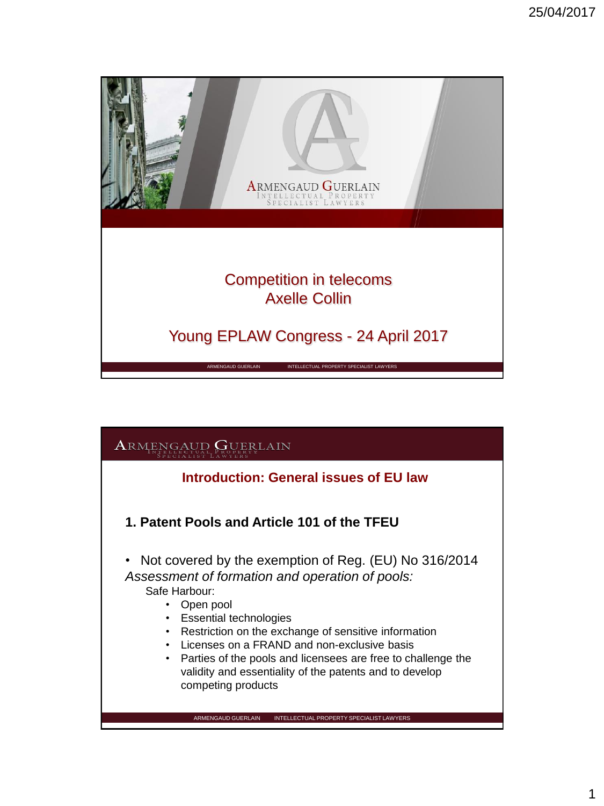

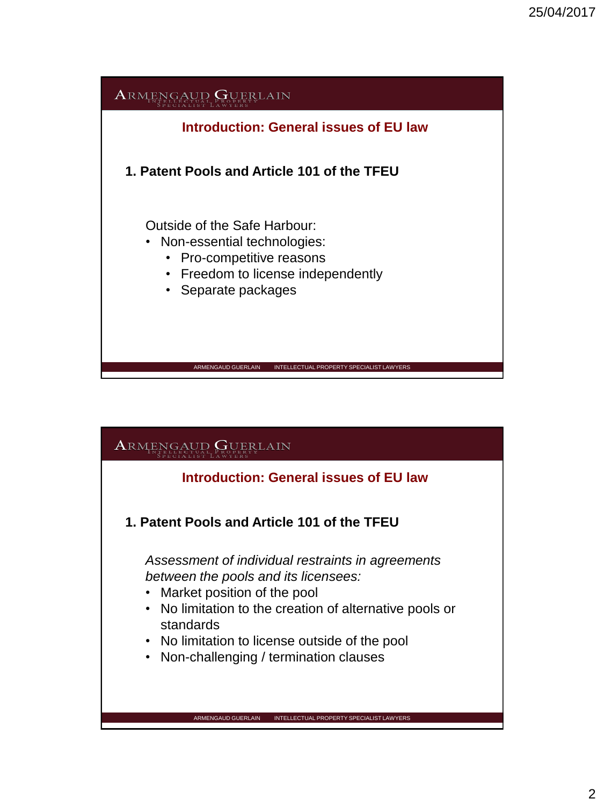

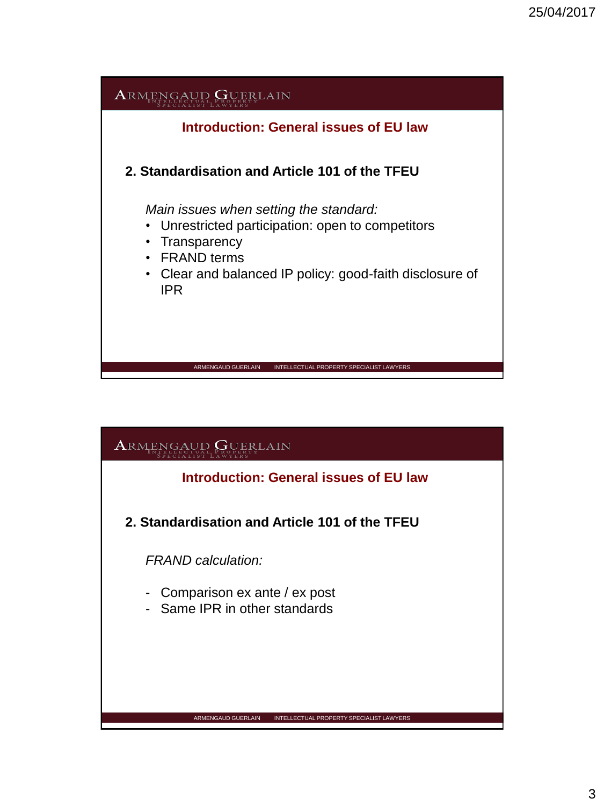

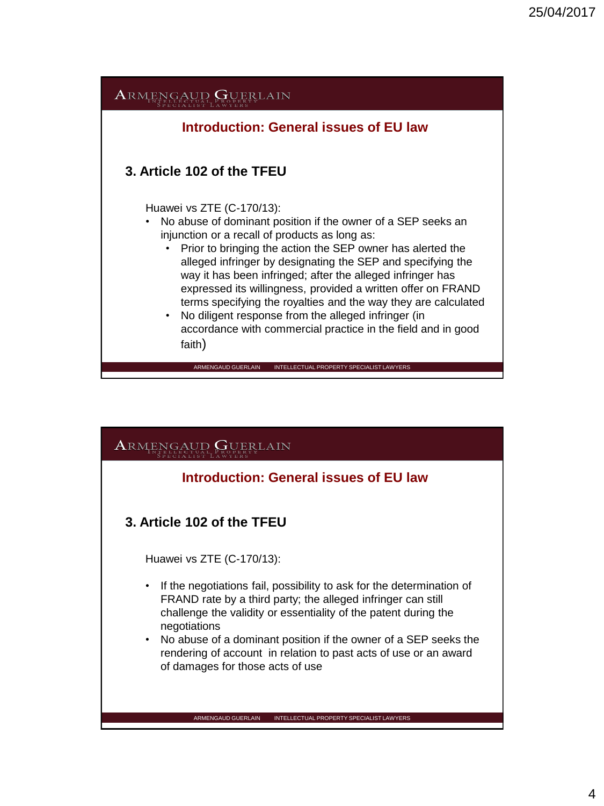

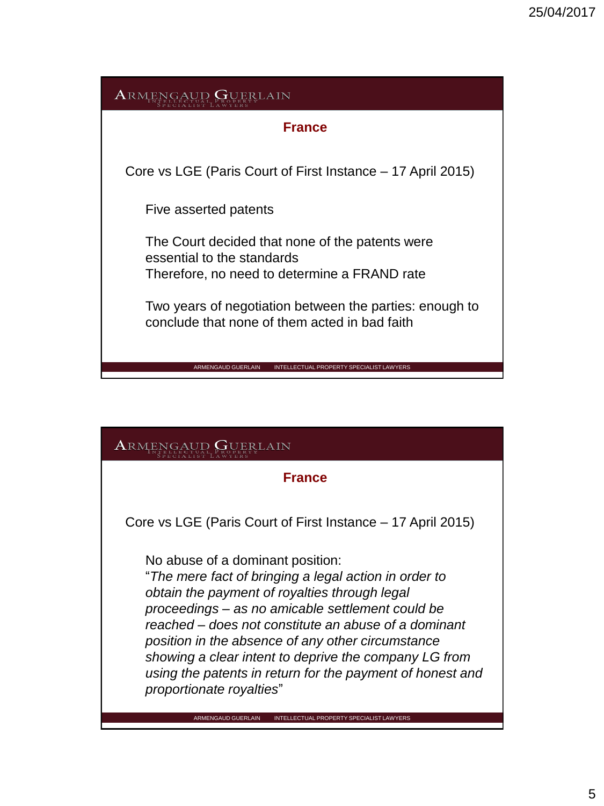

#### **France**

Core vs LGE (Paris Court of First Instance – 17 April 2015)

No abuse of a dominant position:

"*The mere fact of bringing a legal action in order to obtain the payment of royalties through legal proceedings – as no amicable settlement could be reached – does not constitute an abuse of a dominant position in the absence of any other circumstance showing a clear intent to deprive the company LG from using the patents in return for the payment of honest and proportionate royalties*"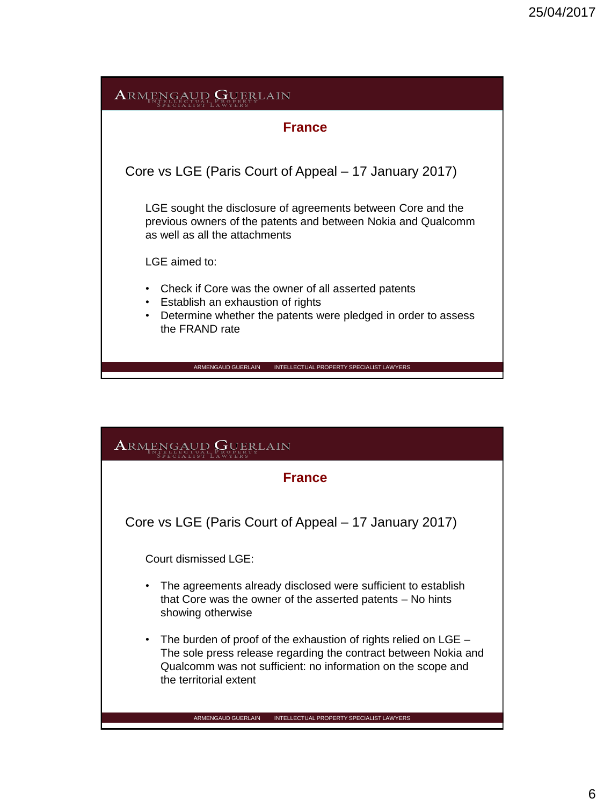| <b>ARMENGAUD GUERLAIN</b>                                                                                                                                                                          |
|----------------------------------------------------------------------------------------------------------------------------------------------------------------------------------------------------|
| <b>France</b>                                                                                                                                                                                      |
| Core vs LGE (Paris Court of Appeal – 17 January 2017)                                                                                                                                              |
| LGE sought the disclosure of agreements between Core and the<br>previous owners of the patents and between Nokia and Qualcomm<br>as well as all the attachments                                    |
| LGE aimed to:                                                                                                                                                                                      |
| Check if Core was the owner of all asserted patents<br>٠<br>Establish an exhaustion of rights<br>$\bullet$<br>Determine whether the patents were pledged in order to assess<br>٠<br>the FRAND rate |
| <b>ARMENGAUD GUERLAIN</b><br>INTELLECTUAL PROPERTY SPECIALIST LAWYERS                                                                                                                              |

| <b>France</b>                                                                                                                                                                                                                     |
|-----------------------------------------------------------------------------------------------------------------------------------------------------------------------------------------------------------------------------------|
| Core vs LGE (Paris Court of Appeal – 17 January 2017)                                                                                                                                                                             |
| Court dismissed LGE:                                                                                                                                                                                                              |
| The agreements already disclosed were sufficient to establish<br>٠<br>that Core was the owner of the asserted patents – No hints<br>showing otherwise                                                                             |
| The burden of proof of the exhaustion of rights relied on LGE –<br>٠<br>The sole press release regarding the contract between Nokia and<br>Qualcomm was not sufficient: no information on the scope and<br>the territorial extent |
| ARMENGAUD GUERLAIN<br>INTELLECTUAL PROPERTY SPECIALIST LAWYERS                                                                                                                                                                    |